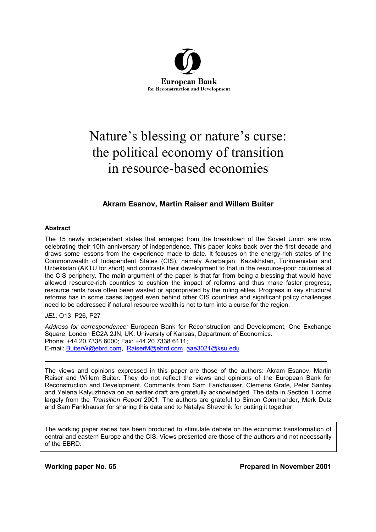

# Nature's blessing or nature's curse: the political economy of transition in resource-based economies

# **Akram Esanov, Martin Raiser and Willem Buiter**

#### **Abstract**

The 15 newly independent states that emerged from the breakdown of the Soviet Union are now celebrating their 10th anniversary of independence. This paper looks back over the first decade and draws some lessons from the experience made to date. It focuses on the energy-rich states of the Commonwealth of Independent States (CIS), namely Azerbaijan, Kazakhstan, Turkmenistan and Uzbekistan (AKTU for short) and contrasts their development to that in the resource-poor countries at the CIS periphery. The main argument of the paper is that far from being a blessing that would have allowed resource-rich countries to cushion the impact of reforms and thus make faster progress, resource rents have often been wasted or appropriated by the ruling elites. Progress in key structural reforms has in some cases lagged even behind other CIS countries and significant policy challenges need to be addressed if natural resource wealth is not to turn into a curse for the region.

#### *JEL:* O13, P26, P27

*Address for correspondence:* European Bank for Reconstruction and Development, One Exchange Square, London EC2A 2JN, UK. University of Kansas, Department of Economics. Phone: +44 20 7338 6000; Fax: +44 20 7338 6111; E-mail: BuiterW@ebrd.com, RaiserM@ebrd.com, aae3021@ksu.edu

The views and opinions expressed in this paper are those of the authors: Akram Esanov, Martin Raiser and Willem Buiter. They do not reflect the views and opinions of the European Bank for Reconstruction and Development. Comments from Sam Fankhauser, Clemens Grafe, Peter Sanfey and Yelena Kalyuzhnova on an earlier draft are gratefully acknowledged. The data in Section 1 come largely from the *Transition Report* 2001. The authors are grateful to Simon Commander, Mark Dutz and Sam Fankhauser for sharing this data and to Natalya Shevchik for putting it together.

The working paper series has been produced to stimulate debate on the economic transformation of central and eastern Europe and the CIS. Views presented are those of the authors and not necessarily of the EBRD.

**Working paper No. 65 Prepared in November 2001**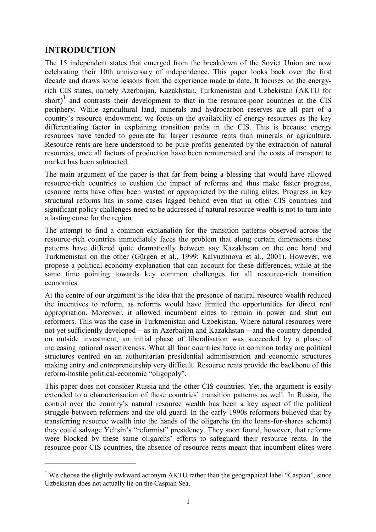# **INTRODUCTION**

 $\overline{a}$ 

The 15 independent states that emerged from the breakdown of the Soviet Union are now celebrating their 10th anniversary of independence. This paper looks back over the first decade and draws some lessons from the experience made to date. It focuses on the energyrich CIS states, namely Azerbaijan, Kazakhstan, Turkmenistan and Uzbekistan (AKTU for short)<sup>1</sup> and contrasts their development to that in the resource-poor countries at the CIS periphery. While agricultural land, minerals and hydrocarbon reserves are all part of a country's resource endowment, we focus on the availability of energy resources as the key differentiating factor in explaining transition paths in the CIS. This is because energy resources have tended to generate far larger resource rents than minerals or agriculture. Resource rents are here understood to be pure profits generated by the extraction of natural resources, once all factors of production have been remunerated and the costs of transport to market has been subtracted.

The main argument of the paper is that far from being a blessing that would have allowed resource-rich countries to cushion the impact of reforms and thus make faster progress, resource rents have often been wasted or appropriated by the ruling elites. Progress in key structural reforms has in some cases lagged behind even that in other CIS countries and significant policy challenges need to be addressed if natural resource wealth is not to turn into a lasting curse for the region.

The attempt to find a common explanation for the transition patterns observed across the resource-rich countries immediately faces the problem that along certain dimensions these patterns have differed quite dramatically between say Kazakhstan on the one hand and Turkmenistan on the other (Gürgen et al., 1999; Kalyuzhnova et al., 2001). However, we propose a political economy explanation that can account for these differences, while at the same time pointing towards key common challenges for all resource-rich transition economies.

At the centre of our argument is the idea that the presence of natural resource wealth reduced the incentives to reform, as reforms would have limited the opportunities for direct rent appropriation. Moreover, it allowed incumbent elites to remain in power and shut out reformers. This was the case in Turkmenistan and Uzbekistan. Where natural resources were not yet sufficiently developed – as in Azerbaijan and Kazakhstan – and the country depended on outside investment, an initial phase of liberalisation was succeeded by a phase of increasing national assertiveness. What all four countries have in common today are political structures centred on an authoritarian presidential administration and economic structures making entry and entrepreneurship very difficult. Resource rents provide the backbone of this reform-hostile political-economic "oligopoly".

This paper does not consider Russia and the other CIS countries. Yet, the argument is easily extended to a characterisation of these countries' transition patterns as well. In Russia, the control over the country's natural resource wealth has been a key aspect of the political struggle between reformers and the old guard. In the early 1990s reformers believed that by transferring resource wealth into the hands of the oligarchs (in the loans-for-shares scheme) they could salvage Yeltsin's "reformist" presidency. They soon found, however, that reforms were blocked by these same oligarchs' efforts to safeguard their resource rents. In the resource-poor CIS countries, the absence of resource rents meant that incumbent elites were

<sup>&</sup>lt;sup>1</sup> We choose the slightly awkward acronym AKTU rather than the geographical label "Caspian", since Uzbekistan does not actually lie on the Caspian Sea.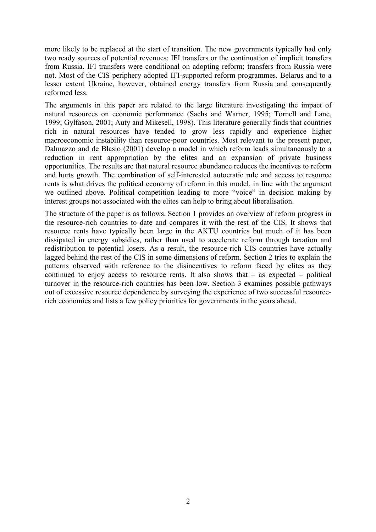more likely to be replaced at the start of transition. The new governments typically had only two ready sources of potential revenues: IFI transfers or the continuation of implicit transfers from Russia. IFI transfers were conditional on adopting reform; transfers from Russia were not. Most of the CIS periphery adopted IFI-supported reform programmes. Belarus and to a lesser extent Ukraine, however, obtained energy transfers from Russia and consequently reformed less.

The arguments in this paper are related to the large literature investigating the impact of natural resources on economic performance (Sachs and Warner, 1995; Tornell and Lane, 1999; Gylfason, 2001; Auty and Mikesell, 1998). This literature generally finds that countries rich in natural resources have tended to grow less rapidly and experience higher macroeconomic instability than resource-poor countries. Most relevant to the present paper, Dalmazzo and de Blasio (2001) develop a model in which reform leads simultaneously to a reduction in rent appropriation by the elites and an expansion of private business opportunities. The results are that natural resource abundance reduces the incentives to reform and hurts growth. The combination of self-interested autocratic rule and access to resource rents is what drives the political economy of reform in this model, in line with the argument we outlined above. Political competition leading to more "voice" in decision making by interest groups not associated with the elites can help to bring about liberalisation.

The structure of the paper is as follows. Section 1 provides an overview of reform progress in the resource-rich countries to date and compares it with the rest of the CIS. It shows that resource rents have typically been large in the AKTU countries but much of it has been dissipated in energy subsidies, rather than used to accelerate reform through taxation and redistribution to potential losers. As a result, the resource-rich CIS countries have actually lagged behind the rest of the CIS in some dimensions of reform. Section 2 tries to explain the patterns observed with reference to the disincentives to reform faced by elites as they continued to enjoy access to resource rents. It also shows that – as expected – political turnover in the resource-rich countries has been low. Section 3 examines possible pathways out of excessive resource dependence by surveying the experience of two successful resourcerich economies and lists a few policy priorities for governments in the years ahead.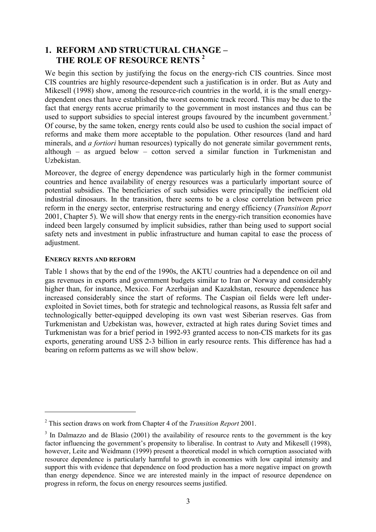# **1. REFORM AND STRUCTURAL CHANGE – THE ROLE OF RESOURCE RENTS 2**

We begin this section by justifying the focus on the energy-rich CIS countries. Since most CIS countries are highly resource-dependent such a justification is in order. But as Auty and Mikesell (1998) show, among the resource-rich countries in the world, it is the small energydependent ones that have established the worst economic track record. This may be due to the fact that energy rents accrue primarily to the government in most instances and thus can be used to support subsidies to special interest groups favoured by the incumbent government.<sup>3</sup> Of course, by the same token, energy rents could also be used to cushion the social impact of reforms and make them more acceptable to the population. Other resources (land and hard minerals, and *a fortiori* human resources) typically do not generate similar government rents, although – as argued below – cotton served a similar function in Turkmenistan and Uzbekistan.

Moreover, the degree of energy dependence was particularly high in the former communist countries and hence availability of energy resources was a particularly important source of potential subsidies. The beneficiaries of such subsidies were principally the inefficient old industrial dinosaurs. In the transition, there seems to be a close correlation between price reform in the energy sector, enterprise restructuring and energy efficiency (*Transition Report* 2001, Chapter 5). We will show that energy rents in the energy-rich transition economies have indeed been largely consumed by implicit subsidies, rather than being used to support social safety nets and investment in public infrastructure and human capital to ease the process of adjustment.

## **ENERGY RENTS AND REFORM**

 $\overline{a}$ 

Table 1 shows that by the end of the 1990s, the AKTU countries had a dependence on oil and gas revenues in exports and government budgets similar to Iran or Norway and considerably higher than, for instance, Mexico. For Azerbaijan and Kazakhstan, resource dependence has increased considerably since the start of reforms. The Caspian oil fields were left underexploited in Soviet times, both for strategic and technological reasons, as Russia felt safer and technologically better-equipped developing its own vast west Siberian reserves. Gas from Turkmenistan and Uzbekistan was, however, extracted at high rates during Soviet times and Turkmenistan was for a brief period in 1992-93 granted access to non-CIS markets for its gas exports, generating around US\$ 2-3 billion in early resource rents. This difference has had a bearing on reform patterns as we will show below.

<sup>2</sup> This section draws on work from Chapter 4 of the *Transition Report* 2001.

 $3$  In Dalmazzo and de Blasio (2001) the availability of resource rents to the government is the key factor influencing the government's propensity to liberalise. In contrast to Auty and Mikesell (1998), however, Leite and Weidmann (1999) present a theoretical model in which corruption associated with resource dependence is particularly harmful to growth in economies with low capital intensity and support this with evidence that dependence on food production has a more negative impact on growth than energy dependence. Since we are interested mainly in the impact of resource dependence on progress in reform, the focus on energy resources seems justified.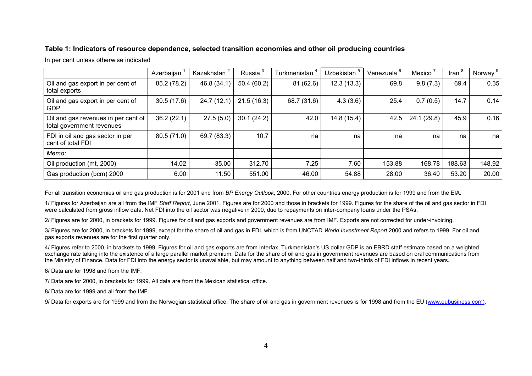## **Table 1: Indicators of resource dependence, selected transition economies and other oil producing countries**

In per cent unless otherwise indicated

|                                                                  | Azerbaijan  | Kazakhstan  | Russia <sup>3</sup> | Turkmenistan | <b>Uzbekistan</b> | Venezuela | Mexico      | Iran   | Norway |
|------------------------------------------------------------------|-------------|-------------|---------------------|--------------|-------------------|-----------|-------------|--------|--------|
| Oil and gas export in per cent of<br>total exports               | 85.2 (78.2) | 46.8 (34.1) | 50.4 (60.2)         | 81(62.6)     | 12.3(13.3)        | 69.8      | 9.8(7.3)    | 69.4   | 0.35   |
| Oil and gas export in per cent of<br>GDP                         | 30.5(17.6)  | 24.7 (12.1) | 21.5(16.3)          | 68.7 (31.6)  | 4.3(3.6)          | 25.4      | 0.7(0.5)    | 14.7   | 0.14   |
| Oil and gas revenues in per cent of<br>total government revenues | 36.2(22.1)  | 27.5(5.0)   | 30.1(24.2)          | 42.0         | 14.8(15.4)        | 42.5      | 24.1 (29.8) | 45.9   | 0.16   |
| FDI in oil and gas sector in per<br>cent of total FDI            | 80.5 (71.0) | 69.7 (83.3) | 10.7                | na           | na                | na        | na          | na     | na     |
| Memo:                                                            |             |             |                     |              |                   |           |             |        |        |
| Oil production (mt, 2000)                                        | 14.02       | 35.00       | 312.70              | 7.25         | 7.60              | 153.88    | 168.78      | 188.63 | 148.92 |
| Gas production (bcm) 2000                                        | 6.00        | 11.50       | 551.00              | 46.00        | 54.88             | 28.00     | 36.40       | 53.20  | 20.00  |

For all transition economies oil and gas production is for 2001 and from *BP Energy Outlook*, 2000. For other countries energy production is for 1999 and from the EIA.

1/ Figures for Azerbaijan are all from the IMF *Staff Report*, June 2001. Figures are for 2000 and those in brackets for 1999. Figures for the share of the oil and gas sector in FDI were calculated from gross inflow data. Net FDI into the oil sector was negative in 2000, due to repayments on inter-company loans under the PSAs.

2/ Figures are for 2000, in brackets for 1999. Figures for oil and gas exports and government revenues are from IMF. Exports are not corrected for under-invoicing.

3/ Figures are for 2000, in brackets for 1999, except for the share of oil and gas in FDI, which is from UNCTAD *World Investment Report* 2000 and refers to 1999. For oil and gas exports revenues are for the first quarter only.

4/ Figures refer to 2000, in brackets to 1999. Figures for oil and gas exports are from Interfax. Turkmenistan's US dollar GDP is an EBRD staff estimate based on a weighted exchange rate taking into the existence of a large parallel market premium. Data for the share of oil and gas in government revenues are based on oral communications from the Ministry of Finance. Data for FDI into the energy sector is unavailable, but may amount to anything between half and two-thirds of FDI inflows in recent years.

6/ Data are for 1998 and from the IMF.

7/ Data are for 2000, in brackets for 1999. All data are from the Mexican statistical office.

8/ Data are for 1999 and all from the IMF.

9/ Data for exports are for 1999 and from the Norwegian statistical office. The share of oil and gas in government revenues is for 1998 and from the EU (www.eubusiness.com).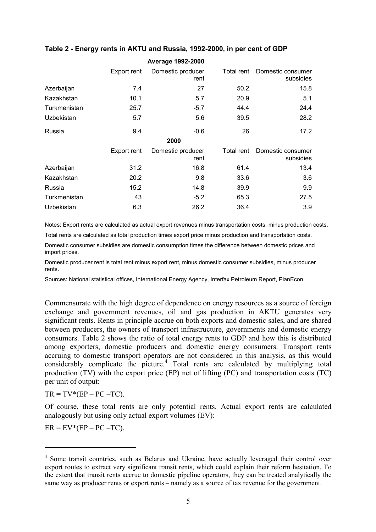|              |             | <b>Average 1992-2000</b>  |            |                                |
|--------------|-------------|---------------------------|------------|--------------------------------|
|              | Export rent | Domestic producer<br>rent | Total rent | Domestic consumer<br>subsidies |
| Azerbaijan   | 7.4         | 27                        | 50.2       | 15.8                           |
| Kazakhstan   | 10.1        | 5.7                       | 20.9       | 5.1                            |
| Turkmenistan | 25.7        | $-5.7$                    | 44.4       | 24.4                           |
| Uzbekistan   | 5.7         | 5.6                       | 39.5       | 28.2                           |
| Russia       | 9.4         | $-0.6$                    | 26         | 17.2                           |
|              |             | 2000                      |            |                                |
|              | Export rent | Domestic producer<br>rent | Total rent | Domestic consumer<br>subsidies |
| Azerbaijan   | 31.2        | 16.8                      | 61.4       | 13.4                           |
| Kazakhstan   | 20.2        | 9.8                       | 33.6       | 3.6                            |
| Russia       | 15.2        | 14.8                      | 39.9       | 9.9                            |
| Turkmenistan | 43          | $-5.2$                    | 65.3       | 27.5                           |
| Uzbekistan   | 6.3         | 26.2                      | 36.4       | 3.9                            |

# **Table 2 - Energy rents in AKTU and Russia, 1992-2000, in per cent of GDP**

Notes: Export rents are calculated as actual export revenues minus transportation costs, minus production costs.

Total rents are calculated as total production times export price minus production and transportation costs.

Domestic consumer subsidies are domestic consumption times the difference between domestic prices and import prices.

Domestic producer rent is total rent minus export rent, minus domestic consumer subsidies, minus producer rents.

Sources: National statistical offices, International Energy Agency, Interfax Petroleum Report, PlanEcon.

Commensurate with the high degree of dependence on energy resources as a source of foreign exchange and government revenues, oil and gas production in AKTU generates very significant rents. Rents in principle accrue on both exports and domestic sales, and are shared between producers, the owners of transport infrastructure, governments and domestic energy consumers. Table 2 shows the ratio of total energy rents to GDP and how this is distributed among exporters, domestic producers and domestic energy consumers. Transport rents accruing to domestic transport operators are not considered in this analysis, as this would considerably complicate the picture.<sup>4</sup> Total rents are calculated by multiplying total production (TV) with the export price (EP) net of lifting (PC) and transportation costs (TC) per unit of output:

 $TR = TV*(EP - PC - TC)$ .

Of course, these total rents are only potential rents. Actual export rents are calculated analogously but using only actual export volumes (EV):

 $ER = EV*(EP - PC - TC)$ .

 $\overline{a}$ 

<sup>&</sup>lt;sup>4</sup> Some transit countries, such as Belarus and Ukraine, have actually leveraged their control over export routes to extract very significant transit rents, which could explain their reform hesitation. To the extent that transit rents accrue to domestic pipeline operators, they can be treated analytically the same way as producer rents or export rents – namely as a source of tax revenue for the government.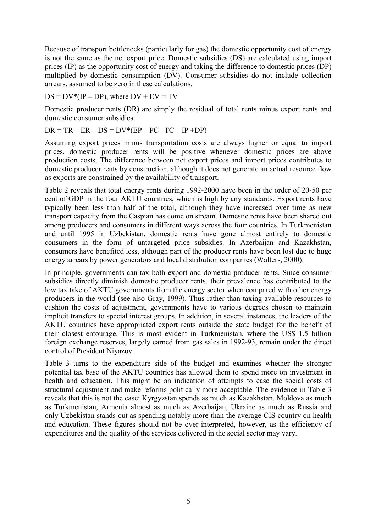Because of transport bottlenecks (particularly for gas) the domestic opportunity cost of energy is not the same as the net export price. Domestic subsidies (DS) are calculated using import prices (IP) as the opportunity cost of energy and taking the difference to domestic prices (DP) multiplied by domestic consumption (DV). Consumer subsidies do not include collection arrears, assumed to be zero in these calculations.

 $DS = DV*(IP - DP)$ , where  $DV + EV = TV$ 

Domestic producer rents (DR) are simply the residual of total rents minus export rents and domestic consumer subsidies:

 $DR = TR - ER - DS = DV*(EP - PC - TC - IP + DP)$ 

Assuming export prices minus transportation costs are always higher or equal to import prices, domestic producer rents will be positive whenever domestic prices are above production costs. The difference between net export prices and import prices contributes to domestic producer rents by construction, although it does not generate an actual resource flow as exports are constrained by the availability of transport.

Table 2 reveals that total energy rents during 1992-2000 have been in the order of 20-50 per cent of GDP in the four AKTU countries, which is high by any standards. Export rents have typically been less than half of the total, although they have increased over time as new transport capacity from the Caspian has come on stream. Domestic rents have been shared out among producers and consumers in different ways across the four countries. In Turkmenistan and until 1995 in Uzbekistan, domestic rents have gone almost entirely to domestic consumers in the form of untargeted price subsidies. In Azerbaijan and Kazakhstan, consumers have benefited less, although part of the producer rents have been lost due to huge energy arrears by power generators and local distribution companies (Walters, 2000).

In principle, governments can tax both export and domestic producer rents. Since consumer subsidies directly diminish domestic producer rents, their prevalence has contributed to the low tax take of AKTU governments from the energy sector when compared with other energy producers in the world (see also Gray, 1999). Thus rather than taxing available resources to cushion the costs of adjustment, governments have to various degrees chosen to maintain implicit transfers to special interest groups. In addition, in several instances, the leaders of the AKTU countries have appropriated export rents outside the state budget for the benefit of their closest entourage. This is most evident in Turkmenistan, where the US\$ 1.5 billion foreign exchange reserves, largely earned from gas sales in 1992-93, remain under the direct control of President Niyazov.

Table 3 turns to the expenditure side of the budget and examines whether the stronger potential tax base of the AKTU countries has allowed them to spend more on investment in health and education. This might be an indication of attempts to ease the social costs of structural adjustment and make reforms politically more acceptable. The evidence in Table 3 reveals that this is not the case: Kyrgyzstan spends as much as Kazakhstan, Moldova as much as Turkmenistan, Armenia almost as much as Azerbaijan, Ukraine as much as Russia and only Uzbekistan stands out as spending notably more than the average CIS country on health and education. These figures should not be over-interpreted, however, as the efficiency of expenditures and the quality of the services delivered in the social sector may vary.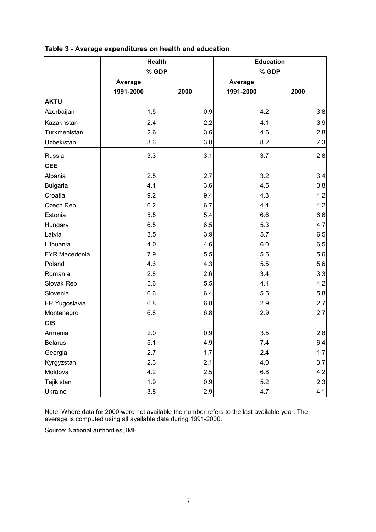|                      | <b>Health</b> |      |           | <b>Education</b> |
|----------------------|---------------|------|-----------|------------------|
|                      | % GDP         |      |           | % GDP            |
|                      | Average       |      | Average   |                  |
|                      | 1991-2000     | 2000 | 1991-2000 | 2000             |
| <b>AKTU</b>          |               |      |           |                  |
| Azerbaijan           | 1.5           | 0.9  | 4.2       | 3.8              |
| Kazakhstan           | 2.4           | 2.2  | 4.1       | 3.9              |
| Turkmenistan         | 2.6           | 3.6  | 4.6       | 2.8              |
| Uzbekistan           | 3.6           | 3.0  | 8.2       | 7.3              |
| Russia               | 3.3           | 3.1  | 3.7       | 2.8              |
| <b>CEE</b>           |               |      |           |                  |
| Albania              | 2.5           | 2.7  | 3.2       | 3.4              |
| <b>Bulgaria</b>      | 4.1           | 3.6  | 4.5       | 3.8              |
| Croatia              | 9.2           | 9.4  | 4.3       | 4.2              |
| Czech Rep            | 6.2           | 6.7  | 4.4       | 4.2              |
| Estonia              | 5.5           | 5.4  | 6.6       | 6.6              |
| Hungary              | 6.5           | 6.5  | 5.3       | 4.7              |
| Latvia               | 3.5           | 3.9  | 5.7       | 6.5              |
| Lithuania            | 4.0           | 4.6  | 6.0       | 6.5              |
| <b>FYR Macedonia</b> | 7.9           | 5.5  | 5.5       | 5.6              |
| Poland               | 4.6           | 4.3  | 5.5       | 5.6              |
| Romania              | 2.8           | 2.6  | 3.4       | 3.3              |
| Slovak Rep           | 5.6           | 5.5  | 4.1       | 4.2              |
| Slovenia             | 6.6           | 6.4  | 5.5       | 5.8              |
| FR Yugoslavia        | 6.8           | 6.8  | 2.9       | 2.7              |
| Montenegro           | 6.8           | 6.8  | 2.9       | 2.7              |
| <b>CIS</b>           |               |      |           |                  |
| Armenia              | 2.0           | 0.9  | 3.5       | 2.8              |
| <b>Belarus</b>       | 5.1           | 4.9  | 7.4       | 6.4              |
| Georgia              | 2.7           | 1.7  | 2.4       | 1.7              |
| Kyrgyzstan           | 2.3           | 2.1  | 4.0       | 3.7              |
| Moldova              | 4.2           | 2.5  | 6.8       | 4.2              |
| Tajikistan           | 1.9           | 0.9  | 5.2       | 2.3              |
| Ukraine              | $3.8\,$       | 2.9  | 4.7       | 4.1              |

# **Table 3 - Average expenditures on health and education**

Note: Where data for 2000 were not available the number refers to the last available year. The average is computed using all available data during 1991-2000.

Source: National authorities, IMF.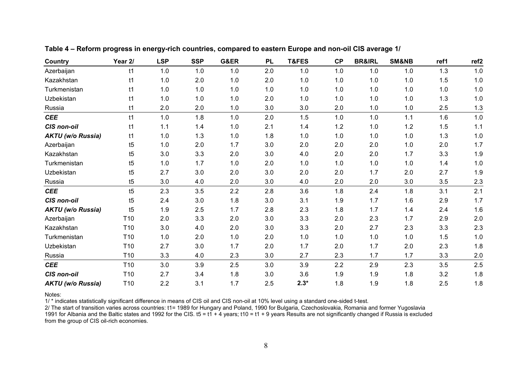| Country                  | Year 2/         | <b>LSP</b> | <b>SSP</b> | G&ER | <b>PL</b> | T&FES  | <b>CP</b> | <b>BR&amp;IRL</b> | <b>SM&amp;NB</b> | ref1 | ref <sub>2</sub> |
|--------------------------|-----------------|------------|------------|------|-----------|--------|-----------|-------------------|------------------|------|------------------|
| Azerbaijan               | t1              | 1.0        | 1.0        | 1.0  | 2.0       | 1.0    | 1.0       | 1.0               | 1.0              | 1.3  | 1.0              |
| Kazakhstan               | t1              | 1.0        | 2.0        | 1.0  | 2.0       | 1.0    | 1.0       | 1.0               | $1.0$            | 1.5  | $1.0$            |
| Turkmenistan             | t1              | 1.0        | 1.0        | 1.0  | 1.0       | 1.0    | 1.0       | 1.0               | 1.0              | 1.0  | $1.0$            |
| Uzbekistan               | t1              | 1.0        | 1.0        | 1.0  | 2.0       | 1.0    | 1.0       | 1.0               | 1.0              | 1.3  | $1.0$            |
| Russia                   | t1              | 2.0        | 2.0        | 1.0  | 3.0       | 3.0    | 2.0       | 1.0               | 1.0              | 2.5  | 1.3              |
| <b>CEE</b>               | t1              | 1.0        | 1.8        | 1.0  | 2.0       | 1.5    | 1.0       | 1.0               | 1.1              | 1.6  | $1.0$            |
| <b>CIS non-oil</b>       | t1              | 1.1        | 1.4        | 1.0  | 2.1       | 1.4    | 1.2       | 1.0               | 1.2              | 1.5  | 1.1              |
| <b>AKTU (w/o Russia)</b> | t1              | 1.0        | 1.3        | 1.0  | 1.8       | $1.0$  | 1.0       | 1.0               | $1.0$            | 1.3  | $1.0$            |
| Azerbaijan               | t5              | 1.0        | 2.0        | 1.7  | 3.0       | 2.0    | 2.0       | 2.0               | $1.0$            | 2.0  | 1.7              |
| Kazakhstan               | t5              | 3.0        | 3.3        | 2.0  | 3.0       | 4.0    | 2.0       | 2.0               | 1.7              | 3.3  | 1.9              |
| Turkmenistan             | t5              | 1.0        | 1.7        | 1.0  | 2.0       | 1.0    | 1.0       | 1.0               | 1.0              | 1.4  | 1.0              |
| Uzbekistan               | t5              | 2.7        | 3.0        | 2.0  | 3.0       | 2.0    | 2.0       | 1.7               | 2.0              | 2.7  | 1.9              |
| Russia                   | t5              | 3.0        | 4.0        | 2.0  | 3.0       | 4.0    | 2.0       | 2.0               | 3.0              | 3.5  | 2.3              |
| <b>CEE</b>               | t5              | 2.3        | 3.5        | 2.2  | 2.8       | 3.6    | 1.8       | 2.4               | 1.8              | 3.1  | 2.1              |
| <b>CIS non-oil</b>       | t5              | 2.4        | 3.0        | 1.8  | 3.0       | 3.1    | 1.9       | 1.7               | 1.6              | 2.9  | 1.7              |
| <b>AKTU (w/o Russia)</b> | t5              | 1.9        | 2.5        | 1.7  | 2.8       | 2.3    | 1.8       | 1.7               | 1.4              | 2.4  | 1.6              |
| Azerbaijan               | T <sub>10</sub> | 2.0        | 3.3        | 2.0  | 3.0       | 3.3    | 2.0       | 2.3               | 1.7              | 2.9  | 2.0              |
| Kazakhstan               | T <sub>10</sub> | 3.0        | 4.0        | 2.0  | 3.0       | 3.3    | 2.0       | 2.7               | 2.3              | 3.3  | 2.3              |
| Turkmenistan             | T <sub>10</sub> | 1.0        | 2.0        | 1.0  | 2.0       | 1.0    | 1.0       | 1.0               | 1.0              | 1.5  | 1.0              |
| Uzbekistan               | T <sub>10</sub> | 2.7        | 3.0        | 1.7  | 2.0       | 1.7    | 2.0       | 1.7               | 2.0              | 2.3  | 1.8              |
| Russia                   | T <sub>10</sub> | 3.3        | 4.0        | 2.3  | 3.0       | 2.7    | 2.3       | 1.7               | 1.7              | 3.3  | 2.0              |
| <b>CEE</b>               | T <sub>10</sub> | 3.0        | 3.9        | 2.5  | 3.0       | 3.9    | 2.2       | 2.9               | 2.3              | 3.5  | 2.5              |
| <b>CIS non-oil</b>       | T <sub>10</sub> | 2.7        | 3.4        | 1.8  | 3.0       | 3.6    | 1.9       | 1.9               | 1.8              | 3.2  | 1.8              |
| <b>AKTU (w/o Russia)</b> | T <sub>10</sub> | 2.2        | 3.1        | 1.7  | 2.5       | $2.3*$ | 1.8       | 1.9               | 1.8              | 2.5  | 1.8              |

**Table 4 – Reform progress in energy-rich countries, compared to eastern Europe and non-oil CIS average 1/**

Notes:

1/ \* indicates statistically significant difference in means of CIS oil and CIS non-oil at 10% level using a standard one-sided t-test.

2/ The start of transition varies across countries: t1= 1989 for Hungary and Poland, 1990 for Bulgaria, Czechoslovakia, Romania and former Yugoslavia

1991 for Albania and the Baltic states and 1992 for the CIS. t5 = t1 + 4 years; t10 = t1 + 9 years Results are not significantly changed if Russia is excluded from the group of CIS oil-rich economies.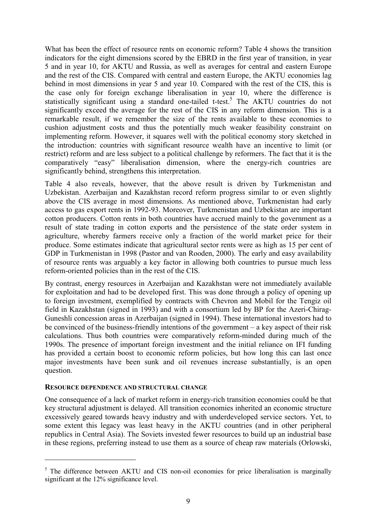What has been the effect of resource rents on economic reform? Table 4 shows the transition indicators for the eight dimensions scored by the EBRD in the first year of transition, in year 5 and in year 10, for AKTU and Russia, as well as averages for central and eastern Europe and the rest of the CIS. Compared with central and eastern Europe, the AKTU economies lag behind in most dimensions in year 5 and year 10. Compared with the rest of the CIS, this is the case only for foreign exchange liberalisation in year 10, where the difference is statistically significant using a standard one-tailed t-test.<sup>5</sup> The AKTU countries do not significantly exceed the average for the rest of the CIS in any reform dimension. This is a remarkable result, if we remember the size of the rents available to these economies to cushion adjustment costs and thus the potentially much weaker feasibility constraint on implementing reform. However, it squares well with the political economy story sketched in the introduction: countries with significant resource wealth have an incentive to limit (or restrict) reform and are less subject to a political challenge by reformers. The fact that it is the comparatively "easy" liberalisation dimension, where the energy-rich countries are significantly behind, strengthens this interpretation.

Table 4 also reveals, however, that the above result is driven by Turkmenistan and Uzbekistan. Azerbaijan and Kazakhstan record reform progress similar to or even slightly above the CIS average in most dimensions. As mentioned above, Turkmenistan had early access to gas export rents in 1992-93. Moreover, Turkmenistan and Uzbekistan are important cotton producers. Cotton rents in both countries have accrued mainly to the government as a result of state trading in cotton exports and the persistence of the state order system in agriculture, whereby farmers receive only a fraction of the world market price for their produce. Some estimates indicate that agricultural sector rents were as high as 15 per cent of GDP in Turkmenistan in 1998 (Pastor and van Rooden, 2000). The early and easy availability of resource rents was arguably a key factor in allowing both countries to pursue much less reform-oriented policies than in the rest of the CIS.

By contrast, energy resources in Azerbaijan and Kazakhstan were not immediately available for exploitation and had to be developed first. This was done through a policy of opening up to foreign investment, exemplified by contracts with Chevron and Mobil for the Tengiz oil field in Kazakhstan (signed in 1993) and with a consortium led by BP for the Azeri-Chirag-Guneshli concession areas in Azerbaijan (signed in 1994). These international investors had to be convinced of the business-friendly intentions of the government – a key aspect of their risk calculations. Thus both countries were comparatively reform-minded during much of the 1990s. The presence of important foreign investment and the initial reliance on IFI funding has provided a certain boost to economic reform policies, but how long this can last once major investments have been sunk and oil revenues increase substantially, is an open question.

## **RESOURCE DEPENDENCE AND STRUCTURAL CHANGE**

 $\overline{a}$ 

One consequence of a lack of market reform in energy-rich transition economies could be that key structural adjustment is delayed. All transition economies inherited an economic structure excessively geared towards heavy industry and with underdeveloped service sectors. Yet, to some extent this legacy was least heavy in the AKTU countries (and in other peripheral republics in Central Asia). The Soviets invested fewer resources to build up an industrial base in these regions, preferring instead to use them as a source of cheap raw materials (Orlowski,

<sup>&</sup>lt;sup>5</sup> The difference between AKTU and CIS non-oil economies for price liberalisation is marginally significant at the 12% significance level.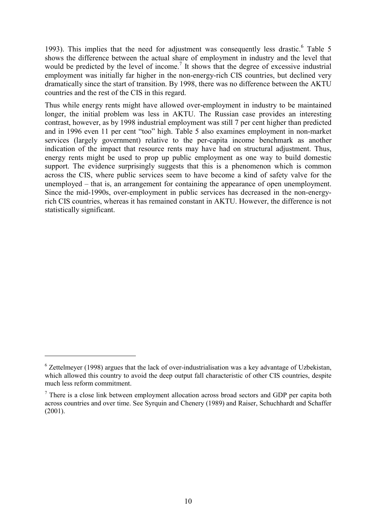1993). This implies that the need for adjustment was consequently less drastic.<sup>6</sup> Table 5 shows the difference between the actual share of employment in industry and the level that would be predicted by the level of income.<sup>7</sup> It shows that the degree of excessive industrial employment was initially far higher in the non-energy-rich CIS countries, but declined very dramatically since the start of transition. By 1998, there was no difference between the AKTU countries and the rest of the CIS in this regard.

Thus while energy rents might have allowed over-employment in industry to be maintained longer, the initial problem was less in AKTU. The Russian case provides an interesting contrast, however, as by 1998 industrial employment was still 7 per cent higher than predicted and in 1996 even 11 per cent "too" high. Table 5 also examines employment in non-market services (largely government) relative to the per-capita income benchmark as another indication of the impact that resource rents may have had on structural adjustment. Thus, energy rents might be used to prop up public employment as one way to build domestic support. The evidence surprisingly suggests that this is a phenomenon which is common across the CIS, where public services seem to have become a kind of safety valve for the unemployed – that is, an arrangement for containing the appearance of open unemployment. Since the mid-1990s, over-employment in public services has decreased in the non-energyrich CIS countries, whereas it has remained constant in AKTU. However, the difference is not statistically significant.

 $\overline{a}$ 

 $6$  Zettelmeyer (1998) argues that the lack of over-industrialisation was a key advantage of Uzbekistan, which allowed this country to avoid the deep output fall characteristic of other CIS countries, despite much less reform commitment.

 $<sup>7</sup>$  There is a close link between employment allocation across broad sectors and GDP per capita both</sup> across countries and over time. See Syrquin and Chenery (1989) and Raiser, Schuchhardt and Schaffer (2001).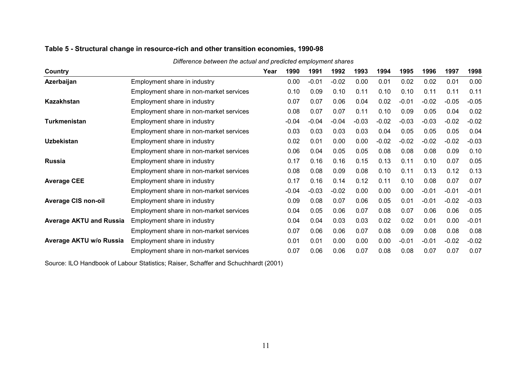| Country                        |                                         | Year | 1990    | 1991    | 1992    | 1993    | 1994    | 1995    | 1996    | 1997    | 1998    |
|--------------------------------|-----------------------------------------|------|---------|---------|---------|---------|---------|---------|---------|---------|---------|
| Azerbaijan                     | Employment share in industry            |      | 0.00    | $-0.01$ | $-0.02$ | 0.00    | 0.01    | 0.02    | 0.02    | 0.01    | 0.00    |
|                                | Employment share in non-market services |      | 0.10    | 0.09    | 0.10    | 0.11    | 0.10    | 0.10    | 0.11    | 0.11    | 0.11    |
| Kazakhstan                     | Employment share in industry            |      | 0.07    | 0.07    | 0.06    | 0.04    | 0.02    | $-0.01$ | $-0.02$ | $-0.05$ | $-0.05$ |
|                                | Employment share in non-market services |      | 0.08    | 0.07    | 0.07    | 0.11    | 0.10    | 0.09    | 0.05    | 0.04    | 0.02    |
| Turkmenistan                   | Employment share in industry            |      | $-0.04$ | $-0.04$ | $-0.04$ | $-0.03$ | $-0.02$ | $-0.03$ | $-0.03$ | $-0.02$ | $-0.02$ |
|                                | Employment share in non-market services |      | 0.03    | 0.03    | 0.03    | 0.03    | 0.04    | 0.05    | 0.05    | 0.05    | 0.04    |
| <b>Uzbekistan</b>              | Employment share in industry            |      | 0.02    | 0.01    | 0.00    | 0.00    | $-0.02$ | $-0.02$ | $-0.02$ | $-0.02$ | $-0.03$ |
|                                | Employment share in non-market services |      | 0.06    | 0.04    | 0.05    | 0.05    | 0.08    | 0.08    | 0.08    | 0.09    | 0.10    |
| <b>Russia</b>                  | Employment share in industry            |      | 0.17    | 0.16    | 0.16    | 0.15    | 0.13    | 0.11    | 0.10    | 0.07    | 0.05    |
|                                | Employment share in non-market services |      | 0.08    | 0.08    | 0.09    | 0.08    | 0.10    | 0.11    | 0.13    | 0.12    | 0.13    |
| <b>Average CEE</b>             | Employment share in industry            |      | 0.17    | 0.16    | 0.14    | 0.12    | 0.11    | 0.10    | 0.08    | 0.07    | 0.07    |
|                                | Employment share in non-market services |      | $-0.04$ | $-0.03$ | $-0.02$ | 0.00    | 0.00    | 0.00    | $-0.01$ | $-0.01$ | $-0.01$ |
| <b>Average CIS non-oil</b>     | Employment share in industry            |      | 0.09    | 0.08    | 0.07    | 0.06    | 0.05    | 0.01    | $-0.01$ | $-0.02$ | $-0.03$ |
|                                | Employment share in non-market services |      | 0.04    | 0.05    | 0.06    | 0.07    | 0.08    | 0.07    | 0.06    | 0.06    | 0.05    |
| <b>Average AKTU and Russia</b> | Employment share in industry            |      | 0.04    | 0.04    | 0.03    | 0.03    | 0.02    | 0.02    | 0.01    | 0.00    | $-0.01$ |
|                                | Employment share in non-market services |      | 0.07    | 0.06    | 0.06    | 0.07    | 0.08    | 0.09    | 0.08    | 0.08    | 0.08    |
| Average AKTU w/o Russia        | Employment share in industry            |      | 0.01    | 0.01    | 0.00    | 0.00    | 0.00    | $-0.01$ | $-0.01$ | $-0.02$ | $-0.02$ |
|                                | Employment share in non-market services |      | 0.07    | 0.06    | 0.06    | 0.07    | 0.08    | 0.08    | 0.07    | 0.07    | 0.07    |

*Difference between the actual and predicted employment shares*

# **Table 5 - Structural change in resource-rich and other transition economies, 1990-98**

Source: ILO Handbook of Labour Statistics; Raiser, Schaffer and Schuchhardt (2001)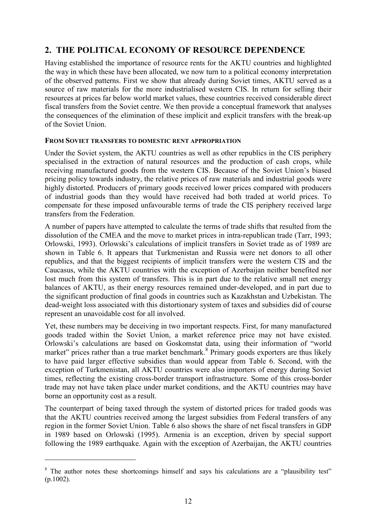# **2. THE POLITICAL ECONOMY OF RESOURCE DEPENDENCE**

Having established the importance of resource rents for the AKTU countries and highlighted the way in which these have been allocated, we now turn to a political economy interpretation of the observed patterns. First we show that already during Soviet times, AKTU served as a source of raw materials for the more industrialised western CIS. In return for selling their resources at prices far below world market values, these countries received considerable direct fiscal transfers from the Soviet centre. We then provide a conceptual framework that analyses the consequences of the elimination of these implicit and explicit transfers with the break-up of the Soviet Union.

## **FROM SOVIET TRANSFERS TO DOMESTIC RENT APPROPRIATION**

Under the Soviet system, the AKTU countries as well as other republics in the CIS periphery specialised in the extraction of natural resources and the production of cash crops, while receiving manufactured goods from the western CIS. Because of the Soviet Union's biased pricing policy towards industry, the relative prices of raw materials and industrial goods were highly distorted. Producers of primary goods received lower prices compared with producers of industrial goods than they would have received had both traded at world prices. To compensate for these imposed unfavourable terms of trade the CIS periphery received large transfers from the Federation.

A number of papers have attempted to calculate the terms of trade shifts that resulted from the dissolution of the CMEA and the move to market prices in intra-republican trade (Tarr, 1993; Orlowski, 1993). Orlowski's calculations of implicit transfers in Soviet trade as of 1989 are shown in Table 6. It appears that Turkmenistan and Russia were net donors to all other republics, and that the biggest recipients of implicit transfers were the western CIS and the Caucasus, while the AKTU countries with the exception of Azerbaijan neither benefited nor lost much from this system of transfers. This is in part due to the relative small net energy balances of AKTU, as their energy resources remained under-developed, and in part due to the significant production of final goods in countries such as Kazakhstan and Uzbekistan. The dead-weight loss associated with this distortionary system of taxes and subsidies did of course represent an unavoidable cost for all involved.

Yet, these numbers may be deceiving in two important respects. First, for many manufactured goods traded within the Soviet Union, a market reference price may not have existed. Orlowski's calculations are based on Goskomstat data, using their information of "world market" prices rather than a true market benchmark.<sup>8</sup> Primary goods exporters are thus likely to have paid larger effective subsidies than would appear from Table 6. Second, with the exception of Turkmenistan, all AKTU countries were also importers of energy during Soviet times, reflecting the existing cross-border transport infrastructure. Some of this cross-border trade may not have taken place under market conditions, and the AKTU countries may have borne an opportunity cost as a result.

The counterpart of being taxed through the system of distorted prices for traded goods was that the AKTU countries received among the largest subsidies from Federal transfers of any region in the former Soviet Union. Table 6 also shows the share of net fiscal transfers in GDP in 1989 based on Orlowski (1995). Armenia is an exception, driven by special support following the 1989 earthquake. Again with the exception of Azerbaijan, the AKTU countries

 $\overline{a}$ 

<sup>&</sup>lt;sup>8</sup> The author notes these shortcomings himself and says his calculations are a "plausibility test" (p.1002).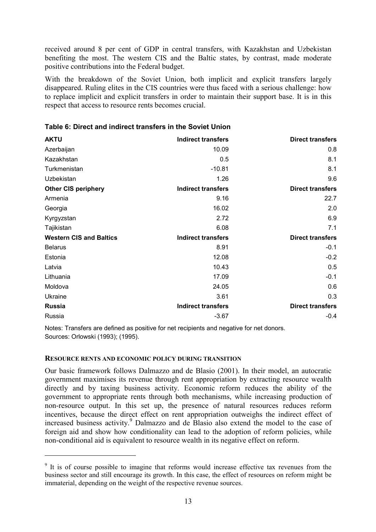received around 8 per cent of GDP in central transfers, with Kazakhstan and Uzbekistan benefiting the most. The western CIS and the Baltic states, by contrast, made moderate positive contributions into the Federal budget.

With the breakdown of the Soviet Union, both implicit and explicit transfers largely disappeared. Ruling elites in the CIS countries were thus faced with a serious challenge: how to replace implicit and explicit transfers in order to maintain their support base. It is in this respect that access to resource rents becomes crucial.

| <b>AKTU</b>                    | <b>Indirect transfers</b> | <b>Direct transfers</b> |
|--------------------------------|---------------------------|-------------------------|
| Azerbaijan                     | 10.09                     | 0.8                     |
| Kazakhstan                     | 0.5                       | 8.1                     |
| Turkmenistan                   | $-10.81$                  | 8.1                     |
| Uzbekistan                     | 1.26                      | 9.6                     |
| <b>Other CIS periphery</b>     | <b>Indirect transfers</b> | <b>Direct transfers</b> |
| Armenia                        | 9.16                      | 22.7                    |
| Georgia                        | 16.02                     | 2.0                     |
| Kyrgyzstan                     | 2.72                      | 6.9                     |
| Tajikistan                     | 6.08                      | 7.1                     |
| <b>Western CIS and Baltics</b> | <b>Indirect transfers</b> | <b>Direct transfers</b> |
| <b>Belarus</b>                 | 8.91                      | $-0.1$                  |
| Estonia                        | 12.08                     | $-0.2$                  |
| Latvia                         | 10.43                     | 0.5                     |
| Lithuania                      | 17.09                     | $-0.1$                  |
| Moldova                        | 24.05                     | 0.6                     |
| Ukraine                        | 3.61                      | 0.3                     |
| <b>Russia</b>                  | <b>Indirect transfers</b> | <b>Direct transfers</b> |
| Russia                         | $-3.67$                   | $-0.4$                  |

**Table 6: Direct and indirect transfers in the Soviet Union**

Notes: Transfers are defined as positive for net recipients and negative for net donors. Sources: Orlowski (1993); (1995).

## **RESOURCE RENTS AND ECONOMIC POLICY DURING TRANSITION**

 $\overline{a}$ 

Our basic framework follows Dalmazzo and de Blasio (2001). In their model, an autocratic government maximises its revenue through rent appropriation by extracting resource wealth directly and by taxing business activity. Economic reform reduces the ability of the government to appropriate rents through both mechanisms, while increasing production of non-resource output. In this set up, the presence of natural resources reduces reform incentives, because the direct effect on rent appropriation outweighs the indirect effect of increased business activity.<sup>9</sup> Dalmazzo and de Blasio also extend the model to the case of foreign aid and show how conditionality can lead to the adoption of reform policies, while non-conditional aid is equivalent to resource wealth in its negative effect on reform.

<sup>&</sup>lt;sup>9</sup> It is of course possible to imagine that reforms would increase effective tax revenues from the business sector and still encourage its growth. In this case, the effect of resources on reform might be immaterial, depending on the weight of the respective revenue sources.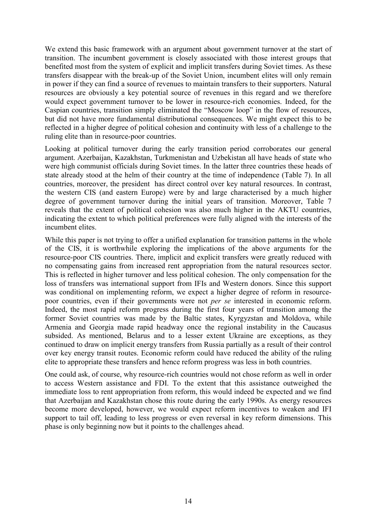We extend this basic framework with an argument about government turnover at the start of transition. The incumbent government is closely associated with those interest groups that benefited most from the system of explicit and implicit transfers during Soviet times. As these transfers disappear with the break-up of the Soviet Union, incumbent elites will only remain in power if they can find a source of revenues to maintain transfers to their supporters. Natural resources are obviously a key potential source of revenues in this regard and we therefore would expect government turnover to be lower in resource-rich economies. Indeed, for the Caspian countries, transition simply eliminated the "Moscow loop" in the flow of resources, but did not have more fundamental distributional consequences. We might expect this to be reflected in a higher degree of political cohesion and continuity with less of a challenge to the ruling elite than in resource-poor countries.

Looking at political turnover during the early transition period corroborates our general argument. Azerbaijan, Kazakhstan, Turkmenistan and Uzbekistan all have heads of state who were high communist officials during Soviet times. In the latter three countries these heads of state already stood at the helm of their country at the time of independence (Table 7). In all countries, moreover, the president has direct control over key natural resources. In contrast, the western CIS (and eastern Europe) were by and large characterised by a much higher degree of government turnover during the initial years of transition. Moreover, Table 7 reveals that the extent of political cohesion was also much higher in the AKTU countries, indicating the extent to which political preferences were fully aligned with the interests of the incumbent elites.

While this paper is not trying to offer a unified explanation for transition patterns in the whole of the CIS, it is worthwhile exploring the implications of the above arguments for the resource-poor CIS countries. There, implicit and explicit transfers were greatly reduced with no compensating gains from increased rent appropriation from the natural resources sector. This is reflected in higher turnover and less political cohesion. The only compensation for the loss of transfers was international support from IFIs and Western donors. Since this support was conditional on implementing reform, we expect a higher degree of reform in resourcepoor countries, even if their governments were not *per se* interested in economic reform. Indeed, the most rapid reform progress during the first four years of transition among the former Soviet countries was made by the Baltic states, Kyrgyzstan and Moldova, while Armenia and Georgia made rapid headway once the regional instability in the Caucasus subsided. As mentioned, Belarus and to a lesser extent Ukraine are exceptions, as they continued to draw on implicit energy transfers from Russia partially as a result of their control over key energy transit routes. Economic reform could have reduced the ability of the ruling elite to appropriate these transfers and hence reform progress was less in both countries.

One could ask, of course, why resource-rich countries would not chose reform as well in order to access Western assistance and FDI. To the extent that this assistance outweighed the immediate loss to rent appropriation from reform, this would indeed be expected and we find that Azerbaijan and Kazakhstan chose this route during the early 1990s. As energy resources become more developed, however, we would expect reform incentives to weaken and IFI support to tail off, leading to less progress or even reversal in key reform dimensions. This phase is only beginning now but it points to the challenges ahead.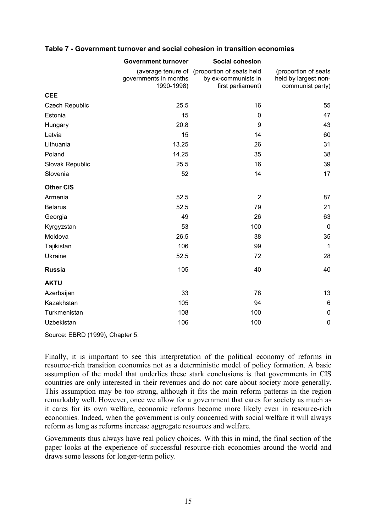| Table 7 - Government turnover and social cohesion in transition economies |  |  |
|---------------------------------------------------------------------------|--|--|
|---------------------------------------------------------------------------|--|--|

|                       | <b>Government turnover</b>          | Social cohesion                              |                                          |
|-----------------------|-------------------------------------|----------------------------------------------|------------------------------------------|
|                       |                                     | (average tenure of (proportion of seats held | (proportion of seats                     |
|                       | governments in months<br>1990-1998) | by ex-communists in<br>first parliament)     | held by largest non-<br>communist party) |
| <b>CEE</b>            |                                     |                                              |                                          |
| <b>Czech Republic</b> | 25.5                                | 16                                           | 55                                       |
| Estonia               | 15                                  | $\mathbf 0$                                  | 47                                       |
|                       |                                     |                                              |                                          |
| Hungary               | 20.8                                | 9                                            | 43                                       |
| Latvia                | 15                                  | 14                                           | 60                                       |
| Lithuania             | 13.25                               | 26                                           | 31                                       |
| Poland                | 14.25                               | 35                                           | 38                                       |
| Slovak Republic       | 25.5                                | 16                                           | 39                                       |
| Slovenia              | 52                                  | 14                                           | 17                                       |
| <b>Other CIS</b>      |                                     |                                              |                                          |
| Armenia               | 52.5                                | $\overline{2}$                               | 87                                       |
| <b>Belarus</b>        | 52.5                                | 79                                           | 21                                       |
| Georgia               | 49                                  | 26                                           | 63                                       |
| Kyrgyzstan            | 53                                  | 100                                          | $\mathbf 0$                              |
| Moldova               | 26.5                                | 38                                           | 35                                       |
| Tajikistan            | 106                                 | 99                                           | $\mathbf{1}$                             |
| Ukraine               | 52.5                                | 72                                           | 28                                       |
| <b>Russia</b>         | 105                                 | 40                                           | 40                                       |
| <b>AKTU</b>           |                                     |                                              |                                          |
| Azerbaijan            | 33                                  | 78                                           | 13                                       |
| Kazakhstan            | 105                                 | 94                                           | $6\phantom{1}6$                          |
| Turkmenistan          | 108                                 | 100                                          | $\mathbf 0$                              |
| Uzbekistan            | 106                                 | 100                                          | $\mathbf 0$                              |

Source: EBRD (1999), Chapter 5.

Finally, it is important to see this interpretation of the political economy of reforms in resource-rich transition economies not as a deterministic model of policy formation. A basic assumption of the model that underlies these stark conclusions is that governments in CIS countries are only interested in their revenues and do not care about society more generally. This assumption may be too strong, although it fits the main reform patterns in the region remarkably well. However, once we allow for a government that cares for society as much as it cares for its own welfare, economic reforms become more likely even in resource-rich economies. Indeed, when the government is only concerned with social welfare it will always reform as long as reforms increase aggregate resources and welfare.

Governments thus always have real policy choices. With this in mind, the final section of the paper looks at the experience of successful resource-rich economies around the world and draws some lessons for longer-term policy.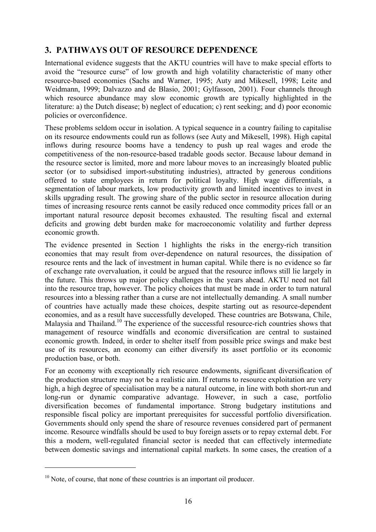# **3. PATHWAYS OUT OF RESOURCE DEPENDENCE**

International evidence suggests that the AKTU countries will have to make special efforts to avoid the "resource curse" of low growth and high volatility characteristic of many other resource-based economies (Sachs and Warner, 1995; Auty and Mikesell, 1998; Leite and Weidmann, 1999; Dalvazzo and de Blasio, 2001; Gylfasson, 2001). Four channels through which resource abundance may slow economic growth are typically highlighted in the literature: a) the Dutch disease; b) neglect of education; c) rent seeking; and d) poor economic policies or overconfidence.

These problems seldom occur in isolation. A typical sequence in a country failing to capitalise on its resource endowments could run as follows (see Auty and Mikesell, 1998). High capital inflows during resource booms have a tendency to push up real wages and erode the competitiveness of the non-resource-based tradable goods sector. Because labour demand in the resource sector is limited, more and more labour moves to an increasingly bloated public sector (or to subsidised import-substituting industries), attracted by generous conditions offered to state employees in return for political loyalty. High wage differentials, a segmentation of labour markets, low productivity growth and limited incentives to invest in skills upgrading result. The growing share of the public sector in resource allocation during times of increasing resource rents cannot be easily reduced once commodity prices fall or an important natural resource deposit becomes exhausted. The resulting fiscal and external deficits and growing debt burden make for macroeconomic volatility and further depress economic growth.

The evidence presented in Section 1 highlights the risks in the energy-rich transition economies that may result from over-dependence on natural resources, the dissipation of resource rents and the lack of investment in human capital. While there is no evidence so far of exchange rate overvaluation, it could be argued that the resource inflows still lie largely in the future. This throws up major policy challenges in the years ahead. AKTU need not fall into the resource trap, however. The policy choices that must be made in order to turn natural resources into a blessing rather than a curse are not intellectually demanding. A small number of countries have actually made these choices, despite starting out as resource-dependent economies, and as a result have successfully developed. These countries are Botswana, Chile, Malaysia and Thailand.<sup>10</sup> The experience of the successful resource-rich countries shows that management of resource windfalls and economic diversification are central to sustained economic growth. Indeed, in order to shelter itself from possible price swings and make best use of its resources, an economy can either diversify its asset portfolio or its economic production base, or both.

For an economy with exceptionally rich resource endowments, significant diversification of the production structure may not be a realistic aim. If returns to resource exploitation are very high, a high degree of specialisation may be a natural outcome, in line with both short-run and long-run or dynamic comparative advantage. However, in such a case, portfolio diversification becomes of fundamental importance. Strong budgetary institutions and responsible fiscal policy are important prerequisites for successful portfolio diversification. Governments should only spend the share of resource revenues considered part of permanent income. Resource windfalls should be used to buy foreign assets or to repay external debt. For this a modern, well-regulated financial sector is needed that can effectively intermediate between domestic savings and international capital markets. In some cases, the creation of a

 $\overline{a}$ 

 $10<sup>10</sup>$  Note, of course, that none of these countries is an important oil producer.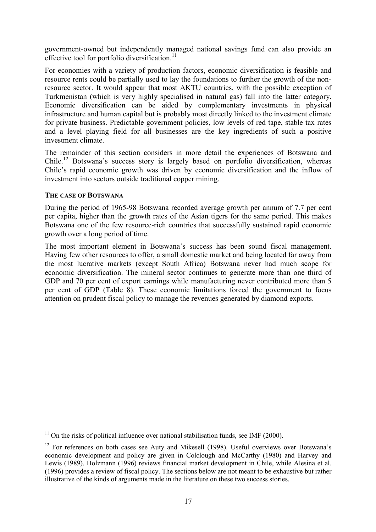government-owned but independently managed national savings fund can also provide an effective tool for portfolio diversification. $^{11}$ 

For economies with a variety of production factors, economic diversification is feasible and resource rents could be partially used to lay the foundations to further the growth of the nonresource sector. It would appear that most AKTU countries, with the possible exception of Turkmenistan (which is very highly specialised in natural gas) fall into the latter category. Economic diversification can be aided by complementary investments in physical infrastructure and human capital but is probably most directly linked to the investment climate for private business. Predictable government policies, low levels of red tape, stable tax rates and a level playing field for all businesses are the key ingredients of such a positive investment climate.

The remainder of this section considers in more detail the experiences of Botswana and Chile.12 Botswana's success story is largely based on portfolio diversification, whereas Chile's rapid economic growth was driven by economic diversification and the inflow of investment into sectors outside traditional copper mining.

## **THE CASE OF BOTSWANA**

 $\overline{a}$ 

During the period of 1965-98 Botswana recorded average growth per annum of 7.7 per cent per capita, higher than the growth rates of the Asian tigers for the same period. This makes Botswana one of the few resource-rich countries that successfully sustained rapid economic growth over a long period of time.

The most important element in Botswana's success has been sound fiscal management. Having few other resources to offer, a small domestic market and being located far away from the most lucrative markets (except South Africa) Botswana never had much scope for economic diversification. The mineral sector continues to generate more than one third of GDP and 70 per cent of export earnings while manufacturing never contributed more than 5 per cent of GDP (Table 8). These economic limitations forced the government to focus attention on prudent fiscal policy to manage the revenues generated by diamond exports.

 $11$  On the risks of political influence over national stabilisation funds, see IMF (2000).

<sup>&</sup>lt;sup>12</sup> For references on both cases see Auty and Mikesell (1998). Useful overviews over Botswana's economic development and policy are given in Colclough and McCarthy (1980) and Harvey and Lewis (1989). Holzmann (1996) reviews financial market development in Chile, while Alesina et al. (1996) provides a review of fiscal policy. The sections below are not meant to be exhaustive but rather illustrative of the kinds of arguments made in the literature on these two success stories.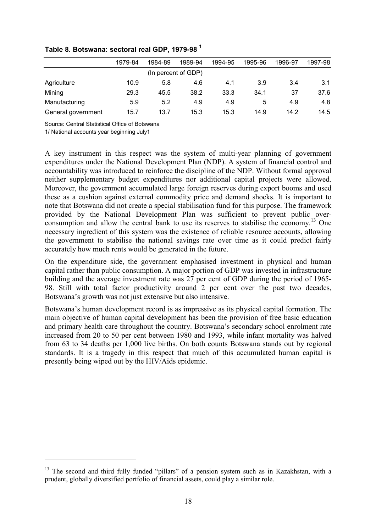|                    | 1979-84 | 1984-89 | 1989-94             | 1994-95 | 1995-96 | 1996-97 | 1997-98 |
|--------------------|---------|---------|---------------------|---------|---------|---------|---------|
|                    |         |         | (In percent of GDP) |         |         |         |         |
| Agriculture        | 10.9    | 5.8     | 4.6                 | 4.1     | 3.9     | 3.4     | 3.1     |
| Mining             | 29.3    | 45.5    | 38.2                | 33.3    | 34.1    | 37      | 37.6    |
| Manufacturing      | 5.9     | 5.2     | 4.9                 | 4.9     | 5       | 4.9     | 4.8     |
| General government | 15.7    | 13.7    | 15.3                | 15.3    | 14.9    | 14.2    | 14.5    |

# **Table 8. Botswana: sectoral real GDP, 1979-98 <sup>1</sup>**

Source: Central Statistical Office of Botswana

1/ National accounts year beginning July1

 $\overline{a}$ 

A key instrument in this respect was the system of multi-year planning of government expenditures under the National Development Plan (NDP). A system of financial control and accountability was introduced to reinforce the discipline of the NDP. Without formal approval neither supplementary budget expenditures nor additional capital projects were allowed. Moreover, the government accumulated large foreign reserves during export booms and used these as a cushion against external commodity price and demand shocks. It is important to note that Botswana did not create a special stabilisation fund for this purpose. The framework provided by the National Development Plan was sufficient to prevent public overconsumption and allow the central bank to use its reserves to stabilise the economy.<sup>13</sup> One necessary ingredient of this system was the existence of reliable resource accounts, allowing the government to stabilise the national savings rate over time as it could predict fairly accurately how much rents would be generated in the future.

On the expenditure side, the government emphasised investment in physical and human capital rather than public consumption. A major portion of GDP was invested in infrastructure building and the average investment rate was 27 per cent of GDP during the period of 1965- 98. Still with total factor productivity around 2 per cent over the past two decades, Botswana's growth was not just extensive but also intensive.

Botswana's human development record is as impressive as its physical capital formation. The main objective of human capital development has been the provision of free basic education and primary health care throughout the country. Botswana's secondary school enrolment rate increased from 20 to 50 per cent between 1980 and 1993, while infant mortality was halved from 63 to 34 deaths per 1,000 live births. On both counts Botswana stands out by regional standards. It is a tragedy in this respect that much of this accumulated human capital is presently being wiped out by the HIV/Aids epidemic.

<sup>&</sup>lt;sup>13</sup> The second and third fully funded "pillars" of a pension system such as in Kazakhstan, with a prudent, globally diversified portfolio of financial assets, could play a similar role.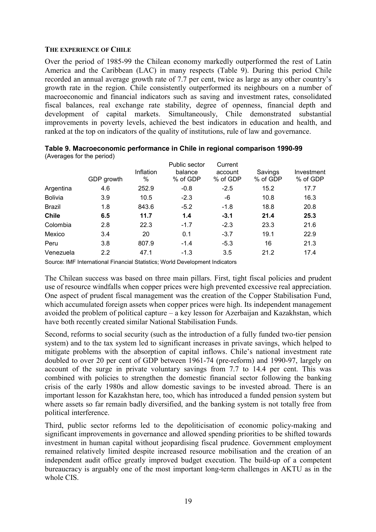# **THE EXPERIENCE OF CHILE**

Over the period of 1985-99 the Chilean economy markedly outperformed the rest of Latin America and the Caribbean (LAC) in many respects (Table 9). During this period Chile recorded an annual average growth rate of 7.7 per cent, twice as large as any other country's growth rate in the region. Chile consistently outperformed its neighbours on a number of macroeconomic and financial indicators such as saving and investment rates, consolidated fiscal balances, real exchange rate stability, degree of openness, financial depth and development of capital markets. Simultaneously, Chile demonstrated substantial improvements in poverty levels, achieved the best indicators in education and health, and ranked at the top on indicators of the quality of institutions, rule of law and governance.

|                | GDP growth | Inflation<br>$\%$ | Public sector<br>balance<br>% of GDP | Current<br>account<br>% of GDP | Savings<br>% of GDP | Investment<br>% of GDP |
|----------------|------------|-------------------|--------------------------------------|--------------------------------|---------------------|------------------------|
| Argentina      | 4.6        | 252.9             | $-0.8$                               | $-2.5$                         | 15.2                | 17.7                   |
| <b>Bolivia</b> | 3.9        | 10.5              | $-2.3$                               | -6                             | 10.8                | 16.3                   |
| <b>Brazil</b>  | 1.8        | 843.6             | $-5.2$                               | $-1.8$                         | 18.8                | 20.8                   |
| <b>Chile</b>   | 6.5        | 11.7              | 1.4                                  | $-3.1$                         | 21.4                | 25.3                   |
| Colombia       | 2.8        | 22.3              | $-1.7$                               | $-2.3$                         | 23.3                | 21.6                   |
| Mexico         | 3.4        | 20                | 0.1                                  | $-3.7$                         | 19.1                | 22.9                   |
| Peru           | 3.8        | 807.9             | $-1.4$                               | $-5.3$                         | 16                  | 21.3                   |
| Venezuela      | 2.2        | 47.1              | $-1.3$                               | 3.5                            | 21.2                | 17.4                   |

| Table 9. Macroeconomic performance in Chile in regional comparison 1990-99 |  |
|----------------------------------------------------------------------------|--|
| (Averages for the period)                                                  |  |

Source: IMF International Financial Statistics; World Development Indicators

The Chilean success was based on three main pillars. First, tight fiscal policies and prudent use of resource windfalls when copper prices were high prevented excessive real appreciation. One aspect of prudent fiscal management was the creation of the Copper Stabilisation Fund, which accumulated foreign assets when copper prices were high. Its independent management avoided the problem of political capture – a key lesson for Azerbaijan and Kazakhstan, which have both recently created similar National Stabilisation Funds.

Second, reforms to social security (such as the introduction of a fully funded two-tier pension system) and to the tax system led to significant increases in private savings, which helped to mitigate problems with the absorption of capital inflows. Chile's national investment rate doubled to over 20 per cent of GDP between 1961-74 (pre-reform) and 1990-97, largely on account of the surge in private voluntary savings from 7.7 to 14.4 per cent. This was combined with policies to strengthen the domestic financial sector following the banking crisis of the early 1980s and allow domestic savings to be invested abroad. There is an important lesson for Kazakhstan here, too, which has introduced a funded pension system but where assets so far remain badly diversified, and the banking system is not totally free from political interference.

Third, public sector reforms led to the depoliticisation of economic policy-making and significant improvements in governance and allowed spending priorities to be shifted towards investment in human capital without jeopardising fiscal prudence. Government employment remained relatively limited despite increased resource mobilisation and the creation of an independent audit office greatly improved budget execution. The build-up of a competent bureaucracy is arguably one of the most important long-term challenges in AKTU as in the whole CIS.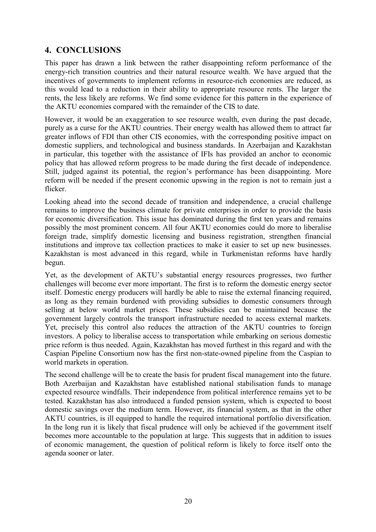# **4. CONCLUSIONS**

This paper has drawn a link between the rather disappointing reform performance of the energy-rich transition countries and their natural resource wealth. We have argued that the incentives of governments to implement reforms in resource-rich economies are reduced, as this would lead to a reduction in their ability to appropriate resource rents. The larger the rents, the less likely are reforms. We find some evidence for this pattern in the experience of the AKTU economies compared with the remainder of the CIS to date.

However, it would be an exaggeration to see resource wealth, even during the past decade, purely as a curse for the AKTU countries. Their energy wealth has allowed them to attract far greater inflows of FDI than other CIS economies, with the corresponding positive impact on domestic suppliers, and technological and business standards. In Azerbaijan and Kazakhstan in particular, this together with the assistance of IFIs has provided an anchor to economic policy that has allowed reform progress to be made during the first decade of independence. Still, judged against its potential, the region's performance has been disappointing. More reform will be needed if the present economic upswing in the region is not to remain just a flicker.

Looking ahead into the second decade of transition and independence, a crucial challenge remains to improve the business climate for private enterprises in order to provide the basis for economic diversification. This issue has dominated during the first ten years and remains possibly the most prominent concern. All four AKTU economies could do more to liberalise foreign trade, simplify domestic licensing and business registration, strengthen financial institutions and improve tax collection practices to make it easier to set up new businesses. Kazakhstan is most advanced in this regard, while in Turkmenistan reforms have hardly begun.

Yet, as the development of AKTU's substantial energy resources progresses, two further challenges will become ever more important. The first is to reform the domestic energy sector itself. Domestic energy producers will hardly be able to raise the external financing required, as long as they remain burdened with providing subsidies to domestic consumers through selling at below world market prices. These subsidies can be maintained because the government largely controls the transport infrastructure needed to access external markets. Yet, precisely this control also reduces the attraction of the AKTU countries to foreign investors. A policy to liberalise access to transportation while embarking on serious domestic price reform is thus needed. Again, Kazakhstan has moved furthest in this regard and with the Caspian Pipeline Consortium now has the first non-state-owned pipeline from the Caspian to world markets in operation.

The second challenge will be to create the basis for prudent fiscal management into the future. Both Azerbaijan and Kazakhstan have established national stabilisation funds to manage expected resource windfalls. Their independence from political interference remains yet to be tested. Kazakhstan has also introduced a funded pension system, which is expected to boost domestic savings over the medium term. However, its financial system, as that in the other AKTU countries, is ill equipped to handle the required international portfolio diversification. In the long run it is likely that fiscal prudence will only be achieved if the government itself becomes more accountable to the population at large. This suggests that in addition to issues of economic management, the question of political reform is likely to force itself onto the agenda sooner or later.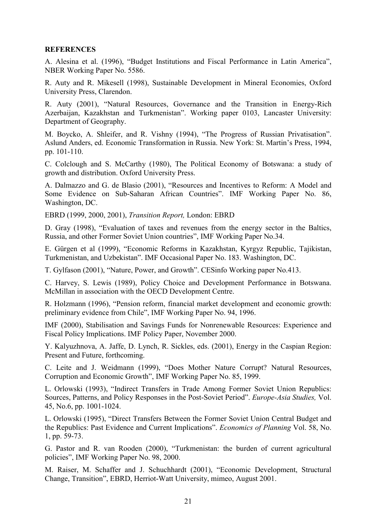## **REFERENCES**

A. Alesina et al. (1996), "Budget Institutions and Fiscal Performance in Latin America", NBER Working Paper No. 5586.

R. Auty and R. Mikesell (1998), Sustainable Development in Mineral Economies, Oxford University Press, Clarendon.

R. Auty (2001), "Natural Resources, Governance and the Transition in Energy-Rich Azerbaijan, Kazakhstan and Turkmenistan". Working paper 0103, Lancaster University: Department of Geography.

M. Boycko, A. Shleifer, and R. Vishny (1994), "The Progress of Russian Privatisation". Aslund Anders, ed. Economic Transformation in Russia. New York: St. Martin's Press, 1994, pp. 101-110.

C. Colclough and S. McCarthy (1980), The Political Economy of Botswana: a study of growth and distribution. Oxford University Press.

A. Dalmazzo and G. de Blasio (2001), "Resources and Incentives to Reform: A Model and Some Evidence on Sub-Saharan African Countries". IMF Working Paper No. 86, Washington, DC.

EBRD (1999, 2000, 2001), *Transition Report,* London: EBRD

D. Gray (1998), "Evaluation of taxes and revenues from the energy sector in the Baltics, Russia, and other Former Soviet Union countries", IMF Working Paper No.34.

E. Gürgen et al (1999), "Economic Reforms in Kazakhstan, Kyrgyz Republic, Tajikistan, Turkmenistan, and Uzbekistan". IMF Occasional Paper No. 183. Washington, DC.

T. Gylfason (2001), "Nature, Power, and Growth". CESinfo Working paper No.413.

C. Harvey, S. Lewis (1989), Policy Choice and Development Performance in Botswana. McMillan in association with the OECD Development Centre.

R. Holzmann (1996), "Pension reform, financial market development and economic growth: preliminary evidence from Chile", IMF Working Paper No. 94, 1996.

IMF (2000), Stabilisation and Savings Funds for Nonrenewable Resources: Experience and Fiscal Policy Implications. IMF Policy Paper, November 2000.

Y. Kalyuzhnova, A. Jaffe, D. Lynch, R. Sickles, eds. (2001), Energy in the Caspian Region: Present and Future, forthcoming.

C. Leite and J. Weidmann (1999), "Does Mother Nature Corrupt? Natural Resources, Corruption and Economic Growth", IMF Working Paper No. 85, 1999.

L. Orlowski (1993), "Indirect Transfers in Trade Among Former Soviet Union Republics: Sources, Patterns, and Policy Responses in the Post-Soviet Period". *Europe-Asia Studies,* Vol. 45, No.6, pp. 1001-1024.

L. Orlowski (1995), "Direct Transfers Between the Former Soviet Union Central Budget and the Republics: Past Evidence and Current Implications". *Economics of Planning* Vol. 58, No. 1, pp. 59-73.

G. Pastor and R. van Rooden (2000), "Turkmenistan: the burden of current agricultural policies", IMF Working Paper No. 98, 2000.

M. Raiser, M. Schaffer and J. Schuchhardt (2001), "Economic Development, Structural Change, Transition", EBRD, Herriot-Watt University, mimeo, August 2001.